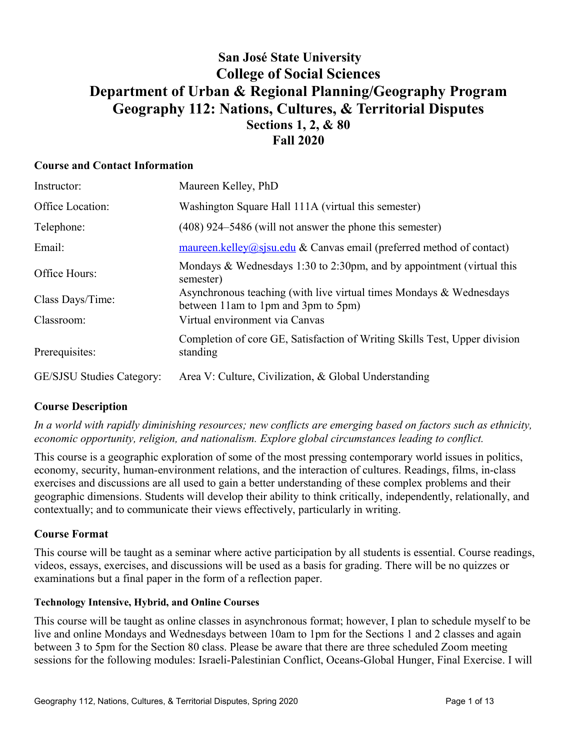## **San José State University College of Social Sciences Department of Urban & Regional Planning/Geography Program Geography 112: Nations, Cultures, & Territorial Disputes Sections 1, 2, & 80 Fall 2020**

## **Course and Contact Information**

| Instructor:                      | Maureen Kelley, PhD                                                                                        |
|----------------------------------|------------------------------------------------------------------------------------------------------------|
| Office Location:                 | Washington Square Hall 111A (virtual this semester)                                                        |
| Telephone:                       | $(408)$ 924–5486 (will not answer the phone this semester)                                                 |
| Email:                           | $\frac{\text{maureen.kelley}(a)\text{s}$ sisu.edu & Canvas email (preferred method of contact)             |
| Office Hours:                    | Mondays & Wednesdays 1:30 to 2:30pm, and by appointment (virtual this<br>semester)                         |
| Class Days/Time:                 | Asynchronous teaching (with live virtual times Mondays & Wednesdays<br>between 11am to 1pm and 3pm to 5pm) |
| Classroom:                       | Virtual environment via Canvas                                                                             |
| Prerequisites:                   | Completion of core GE, Satisfaction of Writing Skills Test, Upper division<br>standing                     |
| <b>GE/SJSU Studies Category:</b> | Area V: Culture, Civilization, & Global Understanding                                                      |

## **Course Description**

*In a world with rapidly diminishing resources; new conflicts are emerging based on factors such as ethnicity, economic opportunity, religion, and nationalism. Explore global circumstances leading to conflict.* 

This course is a geographic exploration of some of the most pressing contemporary world issues in politics, economy, security, human-environment relations, and the interaction of cultures. Readings, films, in-class exercises and discussions are all used to gain a better understanding of these complex problems and their geographic dimensions. Students will develop their ability to think critically, independently, relationally, and contextually; and to communicate their views effectively, particularly in writing.

## **Course Format**

This course will be taught as a seminar where active participation by all students is essential. Course readings, videos, essays, exercises, and discussions will be used as a basis for grading. There will be no quizzes or examinations but a final paper in the form of a reflection paper.

#### **Technology Intensive, Hybrid, and Online Courses**

This course will be taught as online classes in asynchronous format; however, I plan to schedule myself to be live and online Mondays and Wednesdays between 10am to 1pm for the Sections 1 and 2 classes and again between 3 to 5pm for the Section 80 class. Please be aware that there are three scheduled Zoom meeting sessions for the following modules: Israeli-Palestinian Conflict, Oceans-Global Hunger, Final Exercise. I will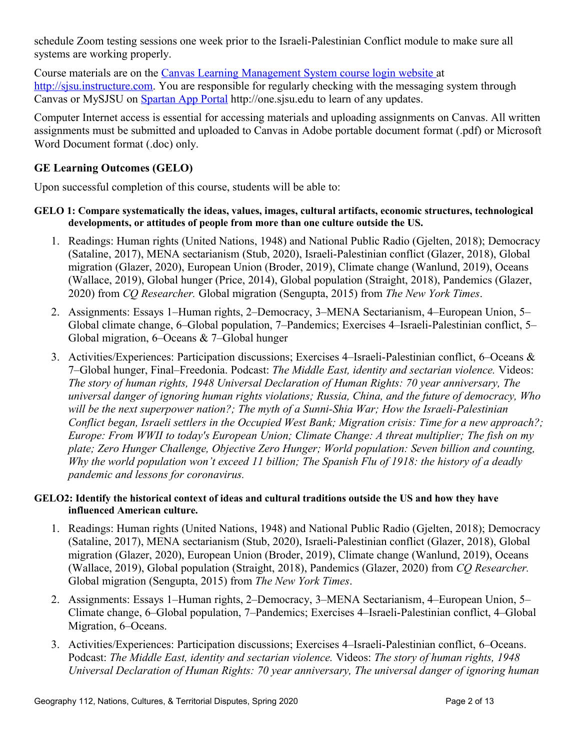schedule Zoom testing sessions one week prior to the Israeli-Palestinian Conflict module to make sure all systems are working properly.

Course materials are on the [Canvas Learning Management System course login website a](https://sjsu.instructure.com/)t [http://sjsu.instructure.com.](http://sjsu.instructure.com/) You are responsible for regularly checking with the messaging system through Canvas or MySJSU on [Spartan App Portal](http://one.sjsu.edu/) http://one.sjsu.edu to learn of any updates.

Computer Internet access is essential for accessing materials and uploading assignments on Canvas. All written assignments must be submitted and uploaded to Canvas in Adobe portable document format (.pdf) or Microsoft Word Document format (.doc) only.

## **GE Learning Outcomes (GELO)**

Upon successful completion of this course, students will be able to:

#### **GELO 1: Compare systematically the ideas, values, images, cultural artifacts, economic structures, technological developments, or attitudes of people from more than one culture outside the US.**

- 1. Readings: Human rights (United Nations, 1948) and National Public Radio (Gjelten, 2018); Democracy (Sataline, 2017), MENA sectarianism (Stub, 2020), Israeli-Palestinian conflict (Glazer, 2018), Global migration (Glazer, 2020), European Union (Broder, 2019), Climate change (Wanlund, 2019), Oceans (Wallace, 2019), Global hunger (Price, 2014), Global population (Straight, 2018), Pandemics (Glazer, 2020) from *CQ Researcher.* Global migration (Sengupta, 2015) from *The New York Times*.
- 2. Assignments: Essays 1–Human rights, 2–Democracy, 3–MENA Sectarianism, 4–European Union, 5– Global climate change, 6–Global population, 7–Pandemics; Exercises 4–Israeli-Palestinian conflict, 5– Global migration, 6–Oceans & 7–Global hunger
- 3. Activities/Experiences: Participation discussions; Exercises 4–Israeli-Palestinian conflict, 6–Oceans & 7‒Global hunger, Final‒Freedonia. Podcast: *The Middle East, identity and sectarian violence.* Videos: *The story of human rights, 1948 Universal Declaration of Human Rights: 70 year anniversary, The universal danger of ignoring human rights violations; Russia, China, and the future of democracy, Who will be the next superpower nation?; The myth of a Sunni-Shia War; How the Israeli-Palestinian Conflict began, Israeli settlers in the Occupied West Bank; Migration crisis: Time for a new approach?; Europe: From WWII to today's European Union; Climate Change: A threat multiplier; The fish on my plate; Zero Hunger Challenge, Objective Zero Hunger; World population: Seven billion and counting, Why the world population won't exceed 11 billion; The Spanish Flu of 1918: the history of a deadly pandemic and lessons for coronavirus.*

#### **GELO2: Identify the historical context of ideas and cultural traditions outside the US and how they have influenced American culture.**

- 1. Readings: Human rights (United Nations, 1948) and National Public Radio (Gjelten, 2018); Democracy (Sataline, 2017), MENA sectarianism (Stub, 2020), Israeli-Palestinian conflict (Glazer, 2018), Global migration (Glazer, 2020), European Union (Broder, 2019), Climate change (Wanlund, 2019), Oceans (Wallace, 2019), Global population (Straight, 2018), Pandemics (Glazer, 2020) from *CQ Researcher.*  Global migration (Sengupta, 2015) from *The New York Times*.
- 2. Assignments: Essays 1–Human rights, 2–Democracy, 3–MENA Sectarianism, 4–European Union, 5– Climate change, 6‒Global population, 7‒Pandemics; Exercises 4‒Israeli-Palestinian conflict, 4‒Global Migration, 6–Oceans.
- 3. Activities/Experiences: Participation discussions; Exercises 4–Israeli-Palestinian conflict, 6–Oceans. Podcast: *The Middle East, identity and sectarian violence.* Videos: *The story of human rights, 1948 Universal Declaration of Human Rights: 70 year anniversary, The universal danger of ignoring human*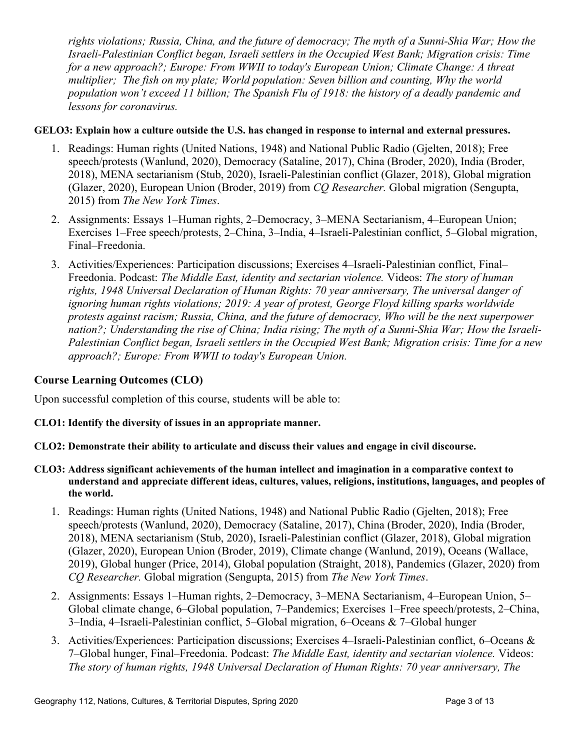*rights violations; Russia, China, and the future of democracy; The myth of a Sunni-Shia War; How the Israeli-Palestinian Conflict began, Israeli settlers in the Occupied West Bank; Migration crisis: Time for a new approach?; Europe: From WWII to today's European Union; Climate Change: A threat multiplier; The fish on my plate; World population: Seven billion and counting, Why the world population won't exceed 11 billion; The Spanish Flu of 1918: the history of a deadly pandemic and lessons for coronavirus.*

## **GELO3: Explain how a culture outside the U.S. has changed in response to internal and external pressures.**

- 1. Readings: Human rights (United Nations, 1948) and National Public Radio (Gjelten, 2018); Free speech/protests (Wanlund, 2020), Democracy (Sataline, 2017), China (Broder, 2020), India (Broder, 2018), MENA sectarianism (Stub, 2020), Israeli-Palestinian conflict (Glazer, 2018), Global migration (Glazer, 2020), European Union (Broder, 2019) from *CQ Researcher.* Global migration (Sengupta, 2015) from *The New York Times*.
- 2. Assignments: Essays 1–Human rights, 2–Democracy, 3–MENA Sectarianism, 4–European Union; Exercises 1–Free speech/protests, 2–China, 3–India, 4–Israeli-Palestinian conflict, 5–Global migration, Final‒Freedonia.
- 3. Activities/Experiences: Participation discussions; Exercises 4–Israeli-Palestinian conflict, Final– Freedonia. Podcast: *The Middle East, identity and sectarian violence.* Videos: *The story of human rights, 1948 Universal Declaration of Human Rights: 70 year anniversary, The universal danger of ignoring human rights violations; 2019: A year of protest, George Floyd killing sparks worldwide protests against racism; Russia, China, and the future of democracy, Who will be the next superpower nation?; Understanding the rise of China; India rising; The myth of a Sunni-Shia War; How the Israeli-Palestinian Conflict began, Israeli settlers in the Occupied West Bank; Migration crisis: Time for a new approach?; Europe: From WWII to today's European Union.*

## **Course Learning Outcomes (CLO)**

Upon successful completion of this course, students will be able to:

#### **CLO1: Identify the diversity of issues in an appropriate manner.**

- **CLO2: Demonstrate their ability to articulate and discuss their values and engage in civil discourse.**
- **CLO3: Address significant achievements of the human intellect and imagination in a comparative context to understand and appreciate different ideas, cultures, values, religions, institutions, languages, and peoples of the world.**
	- 1. Readings: Human rights (United Nations, 1948) and National Public Radio (Gjelten, 2018); Free speech/protests (Wanlund, 2020), Democracy (Sataline, 2017), China (Broder, 2020), India (Broder, 2018), MENA sectarianism (Stub, 2020), Israeli-Palestinian conflict (Glazer, 2018), Global migration (Glazer, 2020), European Union (Broder, 2019), Climate change (Wanlund, 2019), Oceans (Wallace, 2019), Global hunger (Price, 2014), Global population (Straight, 2018), Pandemics (Glazer, 2020) from *CQ Researcher.* Global migration (Sengupta, 2015) from *The New York Times*.
	- 2. Assignments: Essays 1–Human rights, 2–Democracy, 3–MENA Sectarianism, 4–European Union, 5– Global climate change, 6–Global population, 7–Pandemics; Exercises 1–Free speech/protests, 2–China, 3‒India, 4‒Israeli-Palestinian conflict, 5‒Global migration, 6‒Oceans & 7‒Global hunger
	- 3. Activities/Experiences: Participation discussions; Exercises 4–Israeli-Palestinian conflict, 6–Oceans & 7‒Global hunger, Final‒Freedonia. Podcast: *The Middle East, identity and sectarian violence.* Videos: *The story of human rights, 1948 Universal Declaration of Human Rights: 70 year anniversary, The*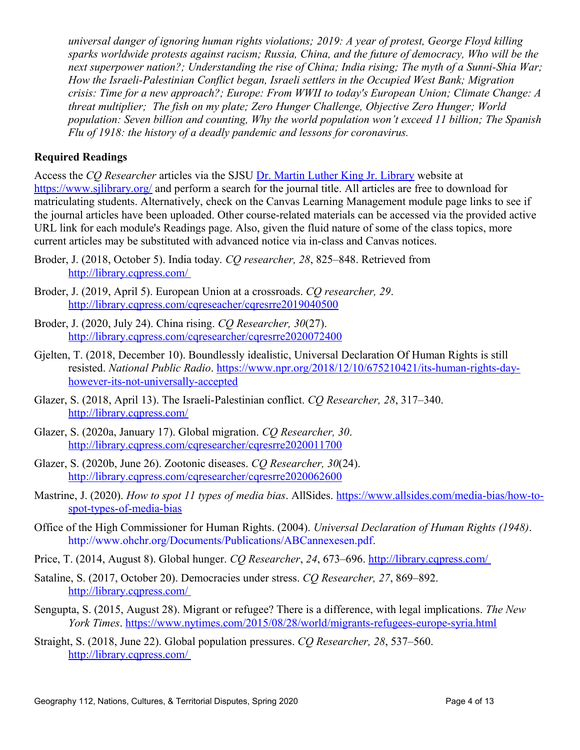*universal danger of ignoring human rights violations; 2019: A year of protest, George Floyd killing sparks worldwide protests against racism; Russia, China, and the future of democracy, Who will be the next superpower nation?; Understanding the rise of China; India rising; The myth of a Sunni-Shia War; How the Israeli-Palestinian Conflict began, Israeli settlers in the Occupied West Bank; Migration crisis: Time for a new approach?; Europe: From WWII to today's European Union; Climate Change: A threat multiplier; The fish on my plate; Zero Hunger Challenge, Objective Zero Hunger; World population: Seven billion and counting, Why the world population won't exceed 11 billion; The Spanish Flu of 1918: the history of a deadly pandemic and lessons for coronavirus.*

## **Required Readings**

Access the *CQ Researcher* articles via the SJSU [Dr. Martin Luther King Jr. Library](https://www.sjlibrary.org/) website at <https://www.sjlibrary.org/>and perform a search for the journal title. All articles are free to download for matriculating students. Alternatively, check on the Canvas Learning Management module page links to see if the journal articles have been uploaded. Other course-related materials can be accessed via the provided active URL link for each module's Readings page. Also, given the fluid nature of some of the class topics, more current articles may be substituted with advanced notice via in-class and Canvas notices.

- Broder, J. (2018, October 5). India today. *CQ researcher*, 28, 825–848. Retrieved from http://library.cqpress.com/
- Broder, J. (2019, April 5). European Union at a crossroads. *CQ researcher, 29*. <http://library.cqpress.com/cqreseacher/cqresrre2019040500>
- Broder, J. (2020, July 24). China rising. *CQ Researcher, 30*(27). <http://library.cqpress.com/cqresearcher/cqresrre2020072400>
- Gjelten, T. (2018, December 10). Boundlessly idealistic, Universal Declaration Of Human Rights is still resisted. *National Public Radio*. [https://www.npr.org/2018/12/10/675210421/its-human-rights-day](https://www.npr.org/2018/12/10/675210421/its-human-rights-day-however-its-not-universally-accepted)[however-its-not-universally-accepted](https://www.npr.org/2018/12/10/675210421/its-human-rights-day-however-its-not-universally-accepted)
- Glazer, S. (2018, April 13). The Israeli-Palestinian conflict. *CQ Researcher*, 28, 317–340. <http://library.cqpress.com/>
- Glazer, S. (2020a, January 17). Global migration. *CQ Researcher, 30*. <http://library.cqpress.com/cqresearcher/cqresrre2020011700>
- Glazer, S. (2020b, June 26). Zootonic diseases. *CQ Researcher, 30*(24). [http://library.cqpress.com/cqresearcher/cqresrre2020062600](file:///C:/Users/mkell/Teaching/G112/Syllabi/Fa20/Glazer,%20S.%20(2020,%20June%2026).%20Zootonic%20diseases.%20CQ%20Researcher,%2030(24).%20Retrieved%20from%20http:%2F%2Flibrary.cqpress.com%2Fcqresearcher%2Fcqresrre2020062600)
- Mastrine, J. (2020). *How to spot 11 types of media bias*. AllSides. [https://www.allsides.com/media-bias/how-to](https://www.allsides.com/media-bias/how-to-spot-types-of-media-bias)[spot-types-of-media-bias](https://www.allsides.com/media-bias/how-to-spot-types-of-media-bias)
- Office of the High Commissioner for Human Rights. (2004). *Universal Declaration of Human Rights (1948)*. [http://www.ohchr.org/Documents/Publications/ABCannexesen.pdf.](http://www.ohchr.org/Documents/Publications/ABCannexesen.pdf)
- Price, T. (2014, August 8). Global hunger. *CQ Researcher*, 24, 673–696. http://library.cqpress.com/
- Sataline, S. (2017, October 20). Democracies under stress. *CQ Researcher, 27*, 869–892. [http://library.cqpress.com/](http://library.cqpress.com/%20)
- Sengupta, S. (2015, August 28). Migrant or refugee? There is a difference, with legal implications. *The New York Times*.<https://www.nytimes.com/2015/08/28/world/migrants-refugees-europe-syria.html>
- Straight, S. (2018, June 22). Global population pressures. *CO Researcher*, 28, 537–560. [http://library.cqpress.com/](http://library.cqpress.com/%20)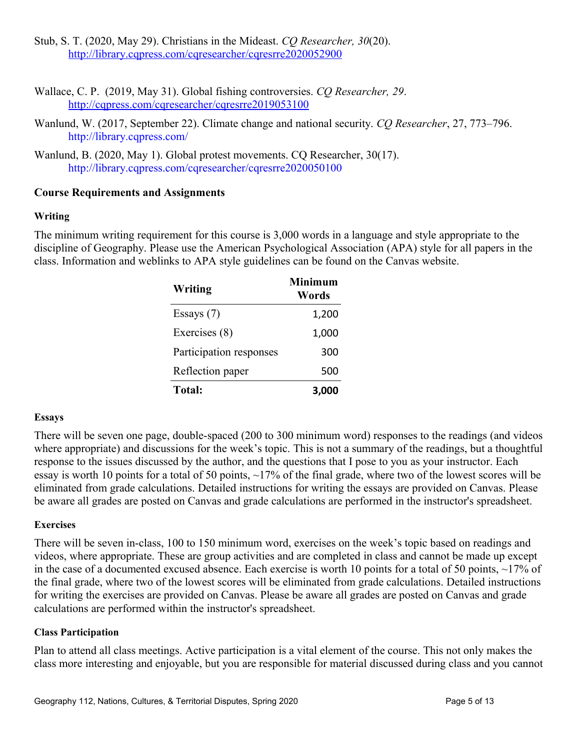Stub, S. T. (2020, May 29). Christians in the Mideast. *CQ Researcher, 30*(20). [http://library.cqpress.com/cqresearcher/cqresrre2020052900](file:///C:/Users/mkell/Teaching/G112/Syllabi/Fa20/Stub,%20S.%20T.%20(2020,%20May%2029).%20Christians%20in%20the%20Mideast.%20CQ%20Global%20Researcher,%2030(20).%20Retrieved%20from%20http:%2F%2Flibrary.cqpress.com%2Fcqresearcher%2Fcqresrre2020052900)

- Wallace, C. P. (2019, May 31). Global fishing controversies. *CQ Researcher, 29*. <http://cqpress.com/cqresearcher/cqresrre2019053100>
- Wanlund, W. (2017, September 22). Climate change and national security. *CQ Researcher*, 27, 773‒796. [http://library.cqpress.com/](http://library.cqpress.com/%20)
- Wanlund, B. (2020, May 1). Global protest movements. CQ Researcher, 30(17). http://library.cqpress.com/cqresearcher/cqresrre2020050100

## **Course Requirements and Assignments**

#### **Writing**

The minimum writing requirement for this course is 3,000 words in a language and style appropriate to the discipline of Geography. Please use the American Psychological Association (APA) style for all papers in the class. Information and weblinks to APA style guidelines can be found on the Canvas website.

| Writing                 | <b>Minimum</b><br>Words |
|-------------------------|-------------------------|
| Essays $(7)$            | 1,200                   |
| Exercises (8)           | 1,000                   |
| Participation responses | 300                     |
| Reflection paper        | 500                     |
| <b>Total:</b>           | 3,000                   |

#### **Essays**

There will be seven one page, double-spaced (200 to 300 minimum word) responses to the readings (and videos where appropriate) and discussions for the week's topic. This is not a summary of the readings, but a thoughtful response to the issues discussed by the author, and the questions that I pose to you as your instructor. Each essay is worth 10 points for a total of 50 points, ~17% of the final grade, where two of the lowest scores will be eliminated from grade calculations. Detailed instructions for writing the essays are provided on Canvas. Please be aware all grades are posted on Canvas and grade calculations are performed in the instructor's spreadsheet.

#### **Exercises**

There will be seven in-class, 100 to 150 minimum word, exercises on the week's topic based on readings and videos, where appropriate. These are group activities and are completed in class and cannot be made up except in the case of a documented excused absence. Each exercise is worth 10 points for a total of 50 points,  $\sim$ 17% of the final grade, where two of the lowest scores will be eliminated from grade calculations. Detailed instructions for writing the exercises are provided on Canvas. Please be aware all grades are posted on Canvas and grade calculations are performed within the instructor's spreadsheet.

## **Class Participation**

Plan to attend all class meetings. Active participation is a vital element of the course. This not only makes the class more interesting and enjoyable, but you are responsible for material discussed during class and you cannot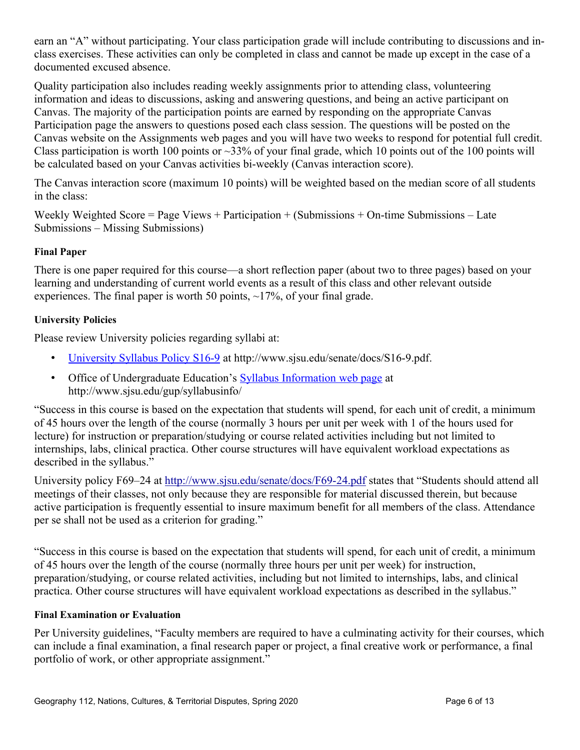earn an "A" without participating. Your class participation grade will include contributing to discussions and inclass exercises. These activities can only be completed in class and cannot be made up except in the case of a documented excused absence.

Quality participation also includes reading weekly assignments prior to attending class, volunteering information and ideas to discussions, asking and answering questions, and being an active participant on Canvas. The majority of the participation points are earned by responding on the appropriate Canvas Participation page the answers to questions posed each class session. The questions will be posted on the Canvas website on the Assignments web pages and you will have two weeks to respond for potential full credit. Class participation is worth 100 points or  $\sim$ 33% of your final grade, which 10 points out of the 100 points will be calculated based on your Canvas activities bi-weekly (Canvas interaction score).

The Canvas interaction score (maximum 10 points) will be weighted based on the median score of all students in the class:

Weekly Weighted Score = Page Views + Participation + (Submissions + On-time Submissions – Late Submissions – Missing Submissions)

## **Final Paper**

There is one paper required for this course—a short reflection paper (about two to three pages) based on your learning and understanding of current world events as a result of this class and other relevant outside experiences. The final paper is worth 50 points,  $\sim$ 17%, of your final grade.

## **University Policies**

Please review University policies regarding syllabi at:

- [University Syllabus Policy S16-9](http://www.sjsu.edu/senate/docs/S16-9.pdf) at http://www.sjsu.edu/senate/docs/S16-9.pdf.
- Office of Undergraduate Education's [Syllabus Information web page](http://www.sjsu.edu/gup/syllabusinfo/) at http://www.sjsu.edu/gup/syllabusinfo/

"Success in this course is based on the expectation that students will spend, for each unit of credit, a minimum of 45 hours over the length of the course (normally 3 hours per unit per week with 1 of the hours used for lecture) for instruction or preparation/studying or course related activities including but not limited to internships, labs, clinical practica. Other course structures will have equivalent workload expectations as described in the syllabus."

University policy F69–24 at<http://www.sjsu.edu/senate/docs/F69-24.pdf>states that "Students should attend all meetings of their classes, not only because they are responsible for material discussed therein, but because active participation is frequently essential to insure maximum benefit for all members of the class. Attendance per se shall not be used as a criterion for grading."

"Success in this course is based on the expectation that students will spend, for each unit of credit, a minimum of 45 hours over the length of the course (normally three hours per unit per week) for instruction, preparation/studying, or course related activities, including but not limited to internships, labs, and clinical practica. Other course structures will have equivalent workload expectations as described in the syllabus."

## **Final Examination or Evaluation**

Per University guidelines, "Faculty members are required to have a culminating activity for their courses, which can include a final examination, a final research paper or project, a final creative work or performance, a final portfolio of work, or other appropriate assignment."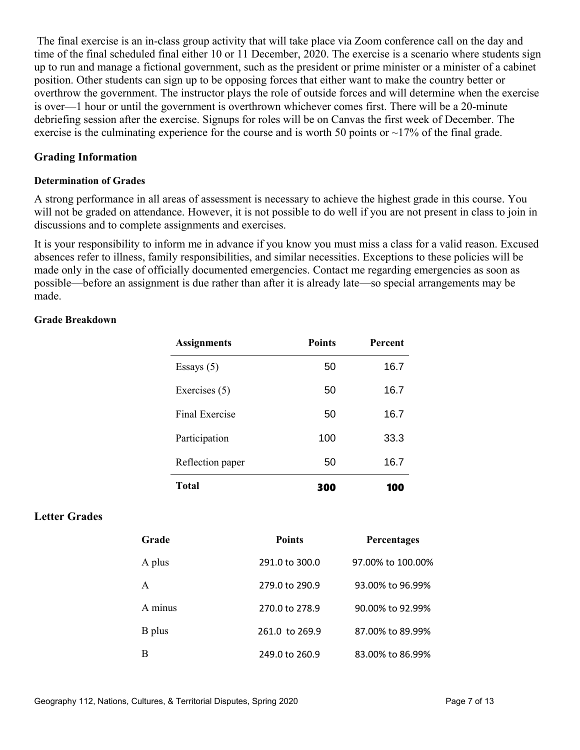The final exercise is an in-class group activity that will take place via Zoom conference call on the day and time of the final scheduled final either 10 or 11 December, 2020. The exercise is a scenario where students sign up to run and manage a fictional government, such as the president or prime minister or a minister of a cabinet position. Other students can sign up to be opposing forces that either want to make the country better or overthrow the government. The instructor plays the role of outside forces and will determine when the exercise is over—1 hour or until the government is overthrown whichever comes first. There will be a 20-minute debriefing session after the exercise. Signups for roles will be on Canvas the first week of December. The exercise is the culminating experience for the course and is worth 50 points or  $\sim$ 17% of the final grade.

## **Grading Information**

## **Determination of Grades**

A strong performance in all areas of assessment is necessary to achieve the highest grade in this course. You will not be graded on attendance. However, it is not possible to do well if you are not present in class to join in discussions and to complete assignments and exercises.

It is your responsibility to inform me in advance if you know you must miss a class for a valid reason. Excused absences refer to illness, family responsibilities, and similar necessities. Exceptions to these policies will be made only in the case of officially documented emergencies. Contact me regarding emergencies as soon as possible—before an assignment is due rather than after it is already late—so special arrangements may be made.

#### **Grade Breakdown**

| <b>Assignments</b> | <b>Points</b> | Percent |
|--------------------|---------------|---------|
| Essays $(5)$       | 50            | 16.7    |
| Exercises (5)      | 50            | 16.7    |
| Final Exercise     | 50            | 16.7    |
| Participation      | 100           | 33.3    |
| Reflection paper   | 50            | 16.7    |
| <b>Total</b>       | 300           | 100     |

## **Letter Grades**

| Grade        | <b>Points</b>  | <b>Percentages</b> |
|--------------|----------------|--------------------|
| A plus       | 291.0 to 300.0 | 97.00% to 100.00%  |
| $\mathsf{A}$ | 279.0 to 290.9 | 93.00% to 96.99%   |
| A minus      | 270.0 to 278.9 | 90.00% to 92.99%   |
| B plus       | 261.0 to 269.9 | 87,00% to 89,99%   |
| B            | 249.0 to 260.9 | 83.00% to 86.99%   |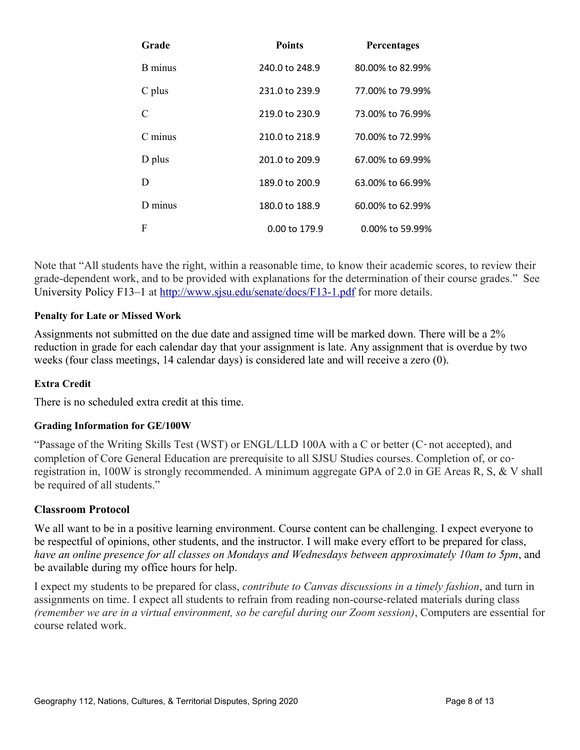| Grade       | <b>Points</b>  | <b>Percentages</b> |
|-------------|----------------|--------------------|
| B minus     | 240.0 to 248.9 | 80.00% to 82.99%   |
| C plus      | 231.0 to 239.9 | 77,00% to 79,99%   |
| C           | 219.0 to 230.9 | 73,00% to 76,99%   |
| $C$ minus   | 210.0 to 218.9 | 70.00% to 72.99%   |
| D plus      | 201.0 to 209.9 | 67,00% to 69,99%   |
| D           | 189.0 to 200.9 | 63.00% to 66.99%   |
| $D$ minus   | 180.0 to 188.9 | 60.00% to 62.99%   |
| $\mathbf F$ | 0.00 to 179.9  | 0.00% to 59.99%    |

Note that "All students have the right, within a reasonable time, to know their academic scores, to review their grade-dependent work, and to be provided with explanations for the determination of their course grades." See University Policy F13–1 at<http://www.sjsu.edu/senate/docs/F13-1.pdf>for more details.

## **Penalty for Late or Missed Work**

Assignments not submitted on the due date and assigned time will be marked down. There will be a 2% reduction in grade for each calendar day that your assignment is late. Any assignment that is overdue by two weeks (four class meetings, 14 calendar days) is considered late and will receive a zero (0).

#### **Extra Credit**

There is no scheduled extra credit at this time.

#### **Grading Information for GE/100W**

"Passage of the Writing Skills Test (WST) or ENGL/LLD 100A with a C or better (C‐ not accepted), and completion of Core General Education are prerequisite to all SJSU Studies courses. Completion of, or coregistration in, 100W is strongly recommended. A minimum aggregate GPA of 2.0 in GE Areas R, S, & V shall be required of all students."

#### **Classroom Protocol**

We all want to be in a positive learning environment. Course content can be challenging. I expect everyone to be respectful of opinions, other students, and the instructor. I will make every effort to be prepared for class, *have an online presence for all classes on Mondays and Wednesdays between approximately 10am to 5pm*, and be available during my office hours for help.

I expect my students to be prepared for class, *contribute to Canvas discussions in a timely fashion*, and turn in assignments on time. I expect all students to refrain from reading non-course-related materials during class *(remember we are in a virtual environment, so be careful during our Zoom session)*, Computers are essential for course related work.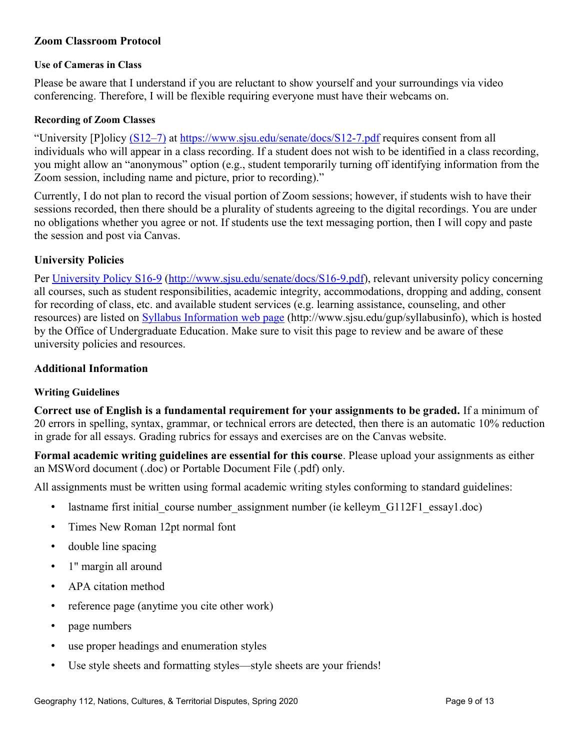## **Zoom Classroom Protocol**

#### **Use of Cameras in Class**

Please be aware that I understand if you are reluctant to show yourself and your surroundings via video conferencing. Therefore, I will be flexible requiring everyone must have their webcams on.

#### **Recording of Zoom Classes**

"University [P]olicy (S12–7) at<https://www.sjsu.edu/senate/docs/S12-7.pdf>requires consent from all individuals who will appear in a class recording. If a student does not wish to be identified in a class recording, you might allow an "anonymous" option (e.g., student temporarily turning off identifying information from the Zoom session, including name and picture, prior to recording)."

Currently, I do not plan to record the visual portion of Zoom sessions; however, if students wish to have their sessions recorded, then there should be a plurality of students agreeing to the digital recordings. You are under no obligations whether you agree or not. If students use the text messaging portion, then I will copy and paste the session and post via Canvas.

## **University Policies**

Per [University Policy S16-9](http://www.sjsu.edu/senate/docs/S16-9.pdf) [\(http://www.sjsu.edu/senate/docs/S16-9.pdf\)](http://www.sjsu.edu/senate/docs/S16-9.pdf), relevant university policy concerning all courses, such as student responsibilities, academic integrity, accommodations, dropping and adding, consent for recording of class, etc. and available student services (e.g. learning assistance, counseling, and other resources) are listed on [Syllabus Information web page](http://www.sjsu.edu/gup/syllabusinfo/) (http://www.sjsu.edu/gup/syllabusinfo), which is hosted by the Office of Undergraduate Education. Make sure to visit this page to review and be aware of these university policies and resources.

#### **Additional Information**

## **Writing Guidelines**

**Correct use of English is a fundamental requirement for your assignments to be graded.** If a minimum of 20 errors in spelling, syntax, grammar, or technical errors are detected, then there is an automatic 10% reduction in grade for all essays. Grading rubrics for essays and exercises are on the Canvas website.

**Formal academic writing guidelines are essential for this course**. Please upload your assignments as either an MSWord document (.doc) or Portable Document File (.pdf) only.

All assignments must be written using formal academic writing styles conforming to standard guidelines:

- lastname first initial\_course number\_assignment number (ie kelleym\_G112F1\_essay1.doc)
- Times New Roman 12pt normal font
- double line spacing
- 1" margin all around
- APA citation method
- reference page (anytime you cite other work)
- page numbers
- use proper headings and enumeration styles
- Use style sheets and formatting styles—style sheets are your friends!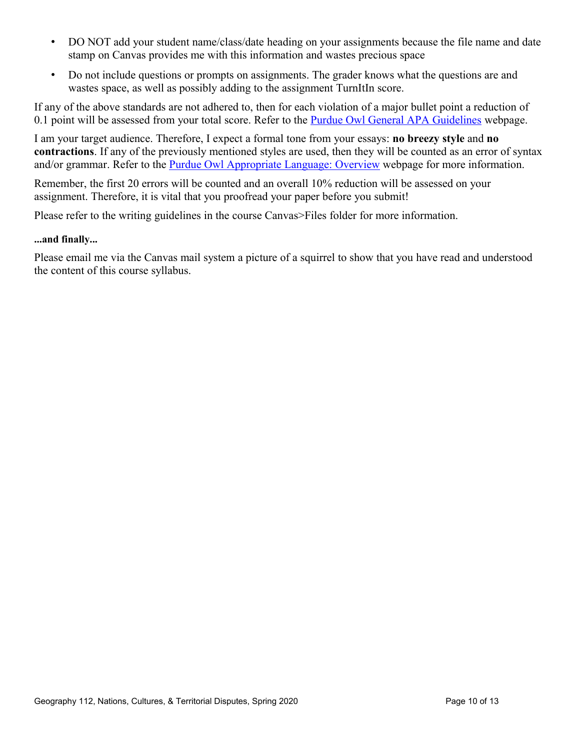- DO NOT add your student name/class/date heading on your assignments because the file name and date stamp on Canvas provides me with this information and wastes precious space
- Do not include questions or prompts on assignments. The grader knows what the questions are and wastes space, as well as possibly adding to the assignment TurnItIn score.

If any of the above standards are not adhered to, then for each violation of a major bullet point a reduction of 0.1 point will be assessed from your total score. Refer to the [Purdue Owl General APA Guidelines](https://owl.english.purdue.edu/owl/resource/560/01/) webpage.

I am your target audience. Therefore, I expect a formal tone from your essays: **no breezy style** and **no contractions**. If any of the previously mentioned styles are used, then they will be counted as an error of syntax and/or grammar. Refer to the [Purdue Owl Appropriate Language: Overview](https://owl.english.purdue.edu/owl/resource/608/01/) webpage for more information.

Remember, the first 20 errors will be counted and an overall 10% reduction will be assessed on your assignment. Therefore, it is vital that you proofread your paper before you submit!

Please refer to the writing guidelines in the course Canvas>Files folder for more information.

#### **...and finally...**

Please email me via the Canvas mail system a picture of a squirrel to show that you have read and understood the content of this course syllabus.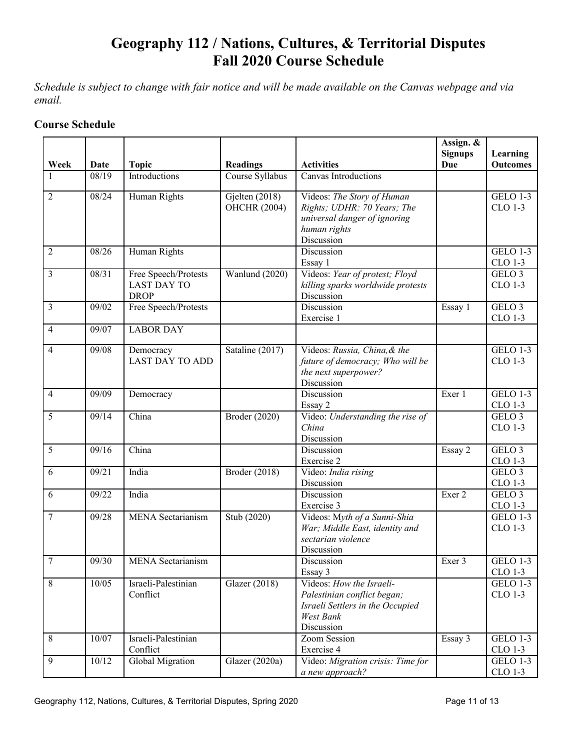# **Geography 112 / Nations, Cultures, & Territorial Disputes Fall 2020 Course Schedule**

*Schedule is subject to change with fair notice and will be made available on the Canvas webpage and via email.* 

## **Course Schedule**

|                          |       |                                                           |                                       |                                                                                                                         | Assign. &<br><b>Signups</b> | Learning                     |
|--------------------------|-------|-----------------------------------------------------------|---------------------------------------|-------------------------------------------------------------------------------------------------------------------------|-----------------------------|------------------------------|
| Week                     | Date  | <b>Topic</b>                                              | <b>Readings</b>                       | <b>Activities</b>                                                                                                       | <b>Due</b>                  | <b>Outcomes</b>              |
|                          | 08/19 | Introductions                                             | Course Syllabus                       | Canvas Introductions                                                                                                    |                             |                              |
| $\overline{2}$           | 08/24 | Human Rights                                              | Gjelten (2018)<br><b>OHCHR (2004)</b> | Videos: The Story of Human<br>Rights; UDHR: 70 Years; The<br>universal danger of ignoring<br>human rights<br>Discussion |                             | <b>GELO 1-3</b><br>CLO 1-3   |
| $\overline{2}$           | 08/26 | Human Rights                                              |                                       | Discussion<br>Essay 1                                                                                                   |                             | <b>GELO 1-3</b><br>CLO 1-3   |
| 3                        | 08/31 | Free Speech/Protests<br><b>LAST DAY TO</b><br><b>DROP</b> | Wanlund (2020)                        | Videos: Year of protest; Floyd<br>killing sparks worldwide protests<br>Discussion                                       |                             | GELO <sub>3</sub><br>CLO 1-3 |
| 3                        | 09/02 | Free Speech/Protests                                      |                                       | Discussion<br>Exercise 1                                                                                                | Essay 1                     | GELO <sub>3</sub><br>CLO 1-3 |
| $\overline{\mathcal{A}}$ | 09/07 | <b>LABOR DAY</b>                                          |                                       |                                                                                                                         |                             |                              |
| $\overline{4}$           | 09/08 | Democracy<br><b>LAST DAY TO ADD</b>                       | Sataline (2017)                       | Videos: Russia, China, & the<br>future of democracy; Who will be<br>the next superpower?<br>Discussion                  |                             | <b>GELO 1-3</b><br>CLO 1-3   |
| $\overline{\mathcal{A}}$ | 09/09 | Democracy                                                 |                                       | Discussion<br>Essay 2                                                                                                   | Exer 1                      | <b>GELO 1-3</b><br>CLO 1-3   |
| 5                        | 09/14 | China                                                     | Broder (2020)                         | Video: Understanding the rise of<br>China<br>Discussion                                                                 |                             | GELO <sub>3</sub><br>CLO 1-3 |
| 5                        | 09/16 | China                                                     |                                       | Discussion<br>Exercise 2                                                                                                | Essay 2                     | GELO <sub>3</sub><br>CLO 1-3 |
| 6                        | 09/21 | India                                                     | Broder (2018)                         | Video: India rising<br>Discussion                                                                                       |                             | GELO <sub>3</sub><br>CLO 1-3 |
| 6                        | 09/22 | India                                                     |                                       | Discussion<br>Exercise 3                                                                                                | Exer 2                      | GELO <sub>3</sub><br>CLO 1-3 |
| $\overline{7}$           | 09/28 | <b>MENA</b> Sectarianism                                  | Stub (2020)                           | Videos: Myth of a Sunni-Shia<br>War; Middle East, identity and<br>sectarian violence<br>Discussion                      |                             | <b>GELO 1-3</b><br>CLO 1-3   |
| $\overline{7}$           | 09/30 | <b>MENA</b> Sectarianism                                  |                                       | Discussion<br>Essay 3                                                                                                   | Exer 3                      | GELO 1-3<br>CLO 1-3          |
| 8                        | 10/05 | Israeli-Palestinian<br>Conflict                           | Glazer (2018)                         | Videos: How the Israeli-<br>Palestinian conflict began;<br>Israeli Settlers in the Occupied<br>West Bank<br>Discussion  |                             | <b>GELO 1-3</b><br>CLO 1-3   |
| 8                        | 10/07 | Israeli-Palestinian<br>Conflict                           |                                       | Zoom Session<br>Exercise 4                                                                                              | Essay 3                     | <b>GELO 1-3</b><br>CLO 1-3   |
| 9                        | 10/12 | <b>Global Migration</b>                                   | Glazer (2020a)                        | Video: Migration crisis: Time for<br>a new approach?                                                                    |                             | <b>GELO 1-3</b><br>CLO 1-3   |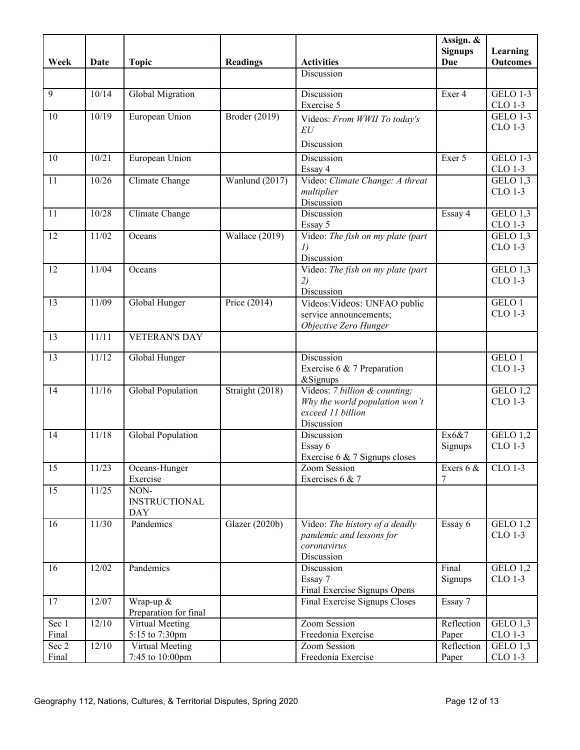| Discussion<br>Discussion<br>9<br>10/14<br>Global Migration<br><b>GELO 1-3</b><br>Exer 4<br>Exercise 5<br>CLO 1-3<br><b>GELO 1-3</b><br>10/19<br>European Union<br>Broder (2019)<br>10<br>Videos: From WWII To today's<br><b>CLO 1-3</b><br>EU<br>Discussion<br>10/21<br>European Union<br>Discussion<br>Exer 5<br><b>GELO 1-3</b><br>10<br>CLO 1-3<br>Essay 4<br>Video: Climate Change: A threat<br>GELO $1,3$<br>10/26<br>Wanlund (2017)<br>11<br>Climate Change<br>CLO 1-3<br>multiplier<br>Discussion<br>10/28<br>Discussion<br>GELO 1,3<br>11<br>Climate Change<br>Essay 4<br>CLO 1-3<br>Essay 5<br>Video: The fish on my plate (part<br>GELO $1,3$<br>11/02<br>Wallace (2019)<br>12<br>Oceans<br>CLO 1-3<br>I)<br>Discussion<br>11/04<br>Video: The fish on my plate (part)<br>12<br>GELO 1,3<br>Oceans<br>CLO 1-3<br>2)<br>Discussion<br>11/09<br>Price (2014)<br>GELO 1<br>13<br>Global Hunger<br>Videos: Videos: UNFAO public<br>CLO 1-3<br>service announcements;<br>Objective Zero Hunger<br>11/11<br><b>VETERAN'S DAY</b><br>13<br>Discussion<br>GELO 1<br>13<br>11/12<br>Global Hunger<br>CLO 1-3<br>Exercise 6 & 7 Preparation<br>&Signups<br>11/16<br>Videos: 7 billion & counting;<br>Global Population<br>Straight (2018)<br>GELO 1,2<br>14<br><b>CLO 1-3</b><br>Why the world population won't<br>exceed 11 billion<br>Discussion<br>11/18<br>GELO 1,2<br>Global Population<br>Discussion<br>Ex6&7<br>14<br>CLO 1-3<br>Essay 6<br>Signups<br>Exercise 6 $\&$ 7 Signups closes<br>15<br>11/23<br>CLO 1-3<br>Oceans-Hunger<br>Zoom Session<br>Exers 6 &<br>Exercise<br>Exercises 6 & 7<br>7<br>11/25<br>NON-<br>15<br><b>INSTRUCTIONAL</b><br><b>DAY</b><br>11/30<br>Pandemics<br>16<br>Glazer (2020b)<br>Essay 6<br>GELO 1,2<br>Video: The history of a deadly<br>CLO 1-3<br>pandemic and lessons for<br>coronavirus<br>Discussion<br>Pandemics<br>Final<br>12/02<br>Discussion<br>GELO $1,2$<br>16<br>CLO 1-3<br>Essay 7<br>Signups<br>Final Exercise Signups Opens<br>12/07<br>Wrap-up &<br>Final Exercise Signups Closes<br>17<br>Essay 7<br>Preparation for final<br>Zoom Session<br>12/10<br>Reflection<br>GELO 1,3<br>Sec 1<br>Virtual Meeting<br>5:15 to 7:30pm<br>Freedonia Exercise<br>CLO 1-3<br>Final<br>Paper<br>12/10<br>Zoom Session<br>Reflection<br>GELO 1,3<br>Sec 2<br>Virtual Meeting<br>CLO 1-3<br>7:45 to 10:00pm<br>Freedonia Exercise<br>Paper<br>Final |      |      |              |                 |                   | Assign. &<br><b>Signups</b> | Learning        |
|------------------------------------------------------------------------------------------------------------------------------------------------------------------------------------------------------------------------------------------------------------------------------------------------------------------------------------------------------------------------------------------------------------------------------------------------------------------------------------------------------------------------------------------------------------------------------------------------------------------------------------------------------------------------------------------------------------------------------------------------------------------------------------------------------------------------------------------------------------------------------------------------------------------------------------------------------------------------------------------------------------------------------------------------------------------------------------------------------------------------------------------------------------------------------------------------------------------------------------------------------------------------------------------------------------------------------------------------------------------------------------------------------------------------------------------------------------------------------------------------------------------------------------------------------------------------------------------------------------------------------------------------------------------------------------------------------------------------------------------------------------------------------------------------------------------------------------------------------------------------------------------------------------------------------------------------------------------------------------------------------------------------------------------------------------------------------------------------------------------------------------------------------------------------------------------------------------------------------------------------------------------------------------------------------------------------------------------------------------------------------------------------|------|------|--------------|-----------------|-------------------|-----------------------------|-----------------|
|                                                                                                                                                                                                                                                                                                                                                                                                                                                                                                                                                                                                                                                                                                                                                                                                                                                                                                                                                                                                                                                                                                                                                                                                                                                                                                                                                                                                                                                                                                                                                                                                                                                                                                                                                                                                                                                                                                                                                                                                                                                                                                                                                                                                                                                                                                                                                                                                | Week | Date | <b>Topic</b> | <b>Readings</b> | <b>Activities</b> | <b>Due</b>                  | <b>Outcomes</b> |
|                                                                                                                                                                                                                                                                                                                                                                                                                                                                                                                                                                                                                                                                                                                                                                                                                                                                                                                                                                                                                                                                                                                                                                                                                                                                                                                                                                                                                                                                                                                                                                                                                                                                                                                                                                                                                                                                                                                                                                                                                                                                                                                                                                                                                                                                                                                                                                                                |      |      |              |                 |                   |                             |                 |
|                                                                                                                                                                                                                                                                                                                                                                                                                                                                                                                                                                                                                                                                                                                                                                                                                                                                                                                                                                                                                                                                                                                                                                                                                                                                                                                                                                                                                                                                                                                                                                                                                                                                                                                                                                                                                                                                                                                                                                                                                                                                                                                                                                                                                                                                                                                                                                                                |      |      |              |                 |                   |                             |                 |
|                                                                                                                                                                                                                                                                                                                                                                                                                                                                                                                                                                                                                                                                                                                                                                                                                                                                                                                                                                                                                                                                                                                                                                                                                                                                                                                                                                                                                                                                                                                                                                                                                                                                                                                                                                                                                                                                                                                                                                                                                                                                                                                                                                                                                                                                                                                                                                                                |      |      |              |                 |                   |                             |                 |
|                                                                                                                                                                                                                                                                                                                                                                                                                                                                                                                                                                                                                                                                                                                                                                                                                                                                                                                                                                                                                                                                                                                                                                                                                                                                                                                                                                                                                                                                                                                                                                                                                                                                                                                                                                                                                                                                                                                                                                                                                                                                                                                                                                                                                                                                                                                                                                                                |      |      |              |                 |                   |                             |                 |
|                                                                                                                                                                                                                                                                                                                                                                                                                                                                                                                                                                                                                                                                                                                                                                                                                                                                                                                                                                                                                                                                                                                                                                                                                                                                                                                                                                                                                                                                                                                                                                                                                                                                                                                                                                                                                                                                                                                                                                                                                                                                                                                                                                                                                                                                                                                                                                                                |      |      |              |                 |                   |                             |                 |
|                                                                                                                                                                                                                                                                                                                                                                                                                                                                                                                                                                                                                                                                                                                                                                                                                                                                                                                                                                                                                                                                                                                                                                                                                                                                                                                                                                                                                                                                                                                                                                                                                                                                                                                                                                                                                                                                                                                                                                                                                                                                                                                                                                                                                                                                                                                                                                                                |      |      |              |                 |                   |                             |                 |
|                                                                                                                                                                                                                                                                                                                                                                                                                                                                                                                                                                                                                                                                                                                                                                                                                                                                                                                                                                                                                                                                                                                                                                                                                                                                                                                                                                                                                                                                                                                                                                                                                                                                                                                                                                                                                                                                                                                                                                                                                                                                                                                                                                                                                                                                                                                                                                                                |      |      |              |                 |                   |                             |                 |
|                                                                                                                                                                                                                                                                                                                                                                                                                                                                                                                                                                                                                                                                                                                                                                                                                                                                                                                                                                                                                                                                                                                                                                                                                                                                                                                                                                                                                                                                                                                                                                                                                                                                                                                                                                                                                                                                                                                                                                                                                                                                                                                                                                                                                                                                                                                                                                                                |      |      |              |                 |                   |                             |                 |
|                                                                                                                                                                                                                                                                                                                                                                                                                                                                                                                                                                                                                                                                                                                                                                                                                                                                                                                                                                                                                                                                                                                                                                                                                                                                                                                                                                                                                                                                                                                                                                                                                                                                                                                                                                                                                                                                                                                                                                                                                                                                                                                                                                                                                                                                                                                                                                                                |      |      |              |                 |                   |                             |                 |
|                                                                                                                                                                                                                                                                                                                                                                                                                                                                                                                                                                                                                                                                                                                                                                                                                                                                                                                                                                                                                                                                                                                                                                                                                                                                                                                                                                                                                                                                                                                                                                                                                                                                                                                                                                                                                                                                                                                                                                                                                                                                                                                                                                                                                                                                                                                                                                                                |      |      |              |                 |                   |                             |                 |
|                                                                                                                                                                                                                                                                                                                                                                                                                                                                                                                                                                                                                                                                                                                                                                                                                                                                                                                                                                                                                                                                                                                                                                                                                                                                                                                                                                                                                                                                                                                                                                                                                                                                                                                                                                                                                                                                                                                                                                                                                                                                                                                                                                                                                                                                                                                                                                                                |      |      |              |                 |                   |                             |                 |
|                                                                                                                                                                                                                                                                                                                                                                                                                                                                                                                                                                                                                                                                                                                                                                                                                                                                                                                                                                                                                                                                                                                                                                                                                                                                                                                                                                                                                                                                                                                                                                                                                                                                                                                                                                                                                                                                                                                                                                                                                                                                                                                                                                                                                                                                                                                                                                                                |      |      |              |                 |                   |                             |                 |
|                                                                                                                                                                                                                                                                                                                                                                                                                                                                                                                                                                                                                                                                                                                                                                                                                                                                                                                                                                                                                                                                                                                                                                                                                                                                                                                                                                                                                                                                                                                                                                                                                                                                                                                                                                                                                                                                                                                                                                                                                                                                                                                                                                                                                                                                                                                                                                                                |      |      |              |                 |                   |                             |                 |
|                                                                                                                                                                                                                                                                                                                                                                                                                                                                                                                                                                                                                                                                                                                                                                                                                                                                                                                                                                                                                                                                                                                                                                                                                                                                                                                                                                                                                                                                                                                                                                                                                                                                                                                                                                                                                                                                                                                                                                                                                                                                                                                                                                                                                                                                                                                                                                                                |      |      |              |                 |                   |                             |                 |
|                                                                                                                                                                                                                                                                                                                                                                                                                                                                                                                                                                                                                                                                                                                                                                                                                                                                                                                                                                                                                                                                                                                                                                                                                                                                                                                                                                                                                                                                                                                                                                                                                                                                                                                                                                                                                                                                                                                                                                                                                                                                                                                                                                                                                                                                                                                                                                                                |      |      |              |                 |                   |                             |                 |
|                                                                                                                                                                                                                                                                                                                                                                                                                                                                                                                                                                                                                                                                                                                                                                                                                                                                                                                                                                                                                                                                                                                                                                                                                                                                                                                                                                                                                                                                                                                                                                                                                                                                                                                                                                                                                                                                                                                                                                                                                                                                                                                                                                                                                                                                                                                                                                                                |      |      |              |                 |                   |                             |                 |
|                                                                                                                                                                                                                                                                                                                                                                                                                                                                                                                                                                                                                                                                                                                                                                                                                                                                                                                                                                                                                                                                                                                                                                                                                                                                                                                                                                                                                                                                                                                                                                                                                                                                                                                                                                                                                                                                                                                                                                                                                                                                                                                                                                                                                                                                                                                                                                                                |      |      |              |                 |                   |                             |                 |
|                                                                                                                                                                                                                                                                                                                                                                                                                                                                                                                                                                                                                                                                                                                                                                                                                                                                                                                                                                                                                                                                                                                                                                                                                                                                                                                                                                                                                                                                                                                                                                                                                                                                                                                                                                                                                                                                                                                                                                                                                                                                                                                                                                                                                                                                                                                                                                                                |      |      |              |                 |                   |                             |                 |
|                                                                                                                                                                                                                                                                                                                                                                                                                                                                                                                                                                                                                                                                                                                                                                                                                                                                                                                                                                                                                                                                                                                                                                                                                                                                                                                                                                                                                                                                                                                                                                                                                                                                                                                                                                                                                                                                                                                                                                                                                                                                                                                                                                                                                                                                                                                                                                                                |      |      |              |                 |                   |                             |                 |
|                                                                                                                                                                                                                                                                                                                                                                                                                                                                                                                                                                                                                                                                                                                                                                                                                                                                                                                                                                                                                                                                                                                                                                                                                                                                                                                                                                                                                                                                                                                                                                                                                                                                                                                                                                                                                                                                                                                                                                                                                                                                                                                                                                                                                                                                                                                                                                                                |      |      |              |                 |                   |                             |                 |
|                                                                                                                                                                                                                                                                                                                                                                                                                                                                                                                                                                                                                                                                                                                                                                                                                                                                                                                                                                                                                                                                                                                                                                                                                                                                                                                                                                                                                                                                                                                                                                                                                                                                                                                                                                                                                                                                                                                                                                                                                                                                                                                                                                                                                                                                                                                                                                                                |      |      |              |                 |                   |                             |                 |
|                                                                                                                                                                                                                                                                                                                                                                                                                                                                                                                                                                                                                                                                                                                                                                                                                                                                                                                                                                                                                                                                                                                                                                                                                                                                                                                                                                                                                                                                                                                                                                                                                                                                                                                                                                                                                                                                                                                                                                                                                                                                                                                                                                                                                                                                                                                                                                                                |      |      |              |                 |                   |                             |                 |
|                                                                                                                                                                                                                                                                                                                                                                                                                                                                                                                                                                                                                                                                                                                                                                                                                                                                                                                                                                                                                                                                                                                                                                                                                                                                                                                                                                                                                                                                                                                                                                                                                                                                                                                                                                                                                                                                                                                                                                                                                                                                                                                                                                                                                                                                                                                                                                                                |      |      |              |                 |                   |                             |                 |
|                                                                                                                                                                                                                                                                                                                                                                                                                                                                                                                                                                                                                                                                                                                                                                                                                                                                                                                                                                                                                                                                                                                                                                                                                                                                                                                                                                                                                                                                                                                                                                                                                                                                                                                                                                                                                                                                                                                                                                                                                                                                                                                                                                                                                                                                                                                                                                                                |      |      |              |                 |                   |                             |                 |
|                                                                                                                                                                                                                                                                                                                                                                                                                                                                                                                                                                                                                                                                                                                                                                                                                                                                                                                                                                                                                                                                                                                                                                                                                                                                                                                                                                                                                                                                                                                                                                                                                                                                                                                                                                                                                                                                                                                                                                                                                                                                                                                                                                                                                                                                                                                                                                                                |      |      |              |                 |                   |                             |                 |
|                                                                                                                                                                                                                                                                                                                                                                                                                                                                                                                                                                                                                                                                                                                                                                                                                                                                                                                                                                                                                                                                                                                                                                                                                                                                                                                                                                                                                                                                                                                                                                                                                                                                                                                                                                                                                                                                                                                                                                                                                                                                                                                                                                                                                                                                                                                                                                                                |      |      |              |                 |                   |                             |                 |
|                                                                                                                                                                                                                                                                                                                                                                                                                                                                                                                                                                                                                                                                                                                                                                                                                                                                                                                                                                                                                                                                                                                                                                                                                                                                                                                                                                                                                                                                                                                                                                                                                                                                                                                                                                                                                                                                                                                                                                                                                                                                                                                                                                                                                                                                                                                                                                                                |      |      |              |                 |                   |                             |                 |
|                                                                                                                                                                                                                                                                                                                                                                                                                                                                                                                                                                                                                                                                                                                                                                                                                                                                                                                                                                                                                                                                                                                                                                                                                                                                                                                                                                                                                                                                                                                                                                                                                                                                                                                                                                                                                                                                                                                                                                                                                                                                                                                                                                                                                                                                                                                                                                                                |      |      |              |                 |                   |                             |                 |
|                                                                                                                                                                                                                                                                                                                                                                                                                                                                                                                                                                                                                                                                                                                                                                                                                                                                                                                                                                                                                                                                                                                                                                                                                                                                                                                                                                                                                                                                                                                                                                                                                                                                                                                                                                                                                                                                                                                                                                                                                                                                                                                                                                                                                                                                                                                                                                                                |      |      |              |                 |                   |                             |                 |
|                                                                                                                                                                                                                                                                                                                                                                                                                                                                                                                                                                                                                                                                                                                                                                                                                                                                                                                                                                                                                                                                                                                                                                                                                                                                                                                                                                                                                                                                                                                                                                                                                                                                                                                                                                                                                                                                                                                                                                                                                                                                                                                                                                                                                                                                                                                                                                                                |      |      |              |                 |                   |                             |                 |
|                                                                                                                                                                                                                                                                                                                                                                                                                                                                                                                                                                                                                                                                                                                                                                                                                                                                                                                                                                                                                                                                                                                                                                                                                                                                                                                                                                                                                                                                                                                                                                                                                                                                                                                                                                                                                                                                                                                                                                                                                                                                                                                                                                                                                                                                                                                                                                                                |      |      |              |                 |                   |                             |                 |
|                                                                                                                                                                                                                                                                                                                                                                                                                                                                                                                                                                                                                                                                                                                                                                                                                                                                                                                                                                                                                                                                                                                                                                                                                                                                                                                                                                                                                                                                                                                                                                                                                                                                                                                                                                                                                                                                                                                                                                                                                                                                                                                                                                                                                                                                                                                                                                                                |      |      |              |                 |                   |                             |                 |
|                                                                                                                                                                                                                                                                                                                                                                                                                                                                                                                                                                                                                                                                                                                                                                                                                                                                                                                                                                                                                                                                                                                                                                                                                                                                                                                                                                                                                                                                                                                                                                                                                                                                                                                                                                                                                                                                                                                                                                                                                                                                                                                                                                                                                                                                                                                                                                                                |      |      |              |                 |                   |                             |                 |
|                                                                                                                                                                                                                                                                                                                                                                                                                                                                                                                                                                                                                                                                                                                                                                                                                                                                                                                                                                                                                                                                                                                                                                                                                                                                                                                                                                                                                                                                                                                                                                                                                                                                                                                                                                                                                                                                                                                                                                                                                                                                                                                                                                                                                                                                                                                                                                                                |      |      |              |                 |                   |                             |                 |
|                                                                                                                                                                                                                                                                                                                                                                                                                                                                                                                                                                                                                                                                                                                                                                                                                                                                                                                                                                                                                                                                                                                                                                                                                                                                                                                                                                                                                                                                                                                                                                                                                                                                                                                                                                                                                                                                                                                                                                                                                                                                                                                                                                                                                                                                                                                                                                                                |      |      |              |                 |                   |                             |                 |
|                                                                                                                                                                                                                                                                                                                                                                                                                                                                                                                                                                                                                                                                                                                                                                                                                                                                                                                                                                                                                                                                                                                                                                                                                                                                                                                                                                                                                                                                                                                                                                                                                                                                                                                                                                                                                                                                                                                                                                                                                                                                                                                                                                                                                                                                                                                                                                                                |      |      |              |                 |                   |                             |                 |
|                                                                                                                                                                                                                                                                                                                                                                                                                                                                                                                                                                                                                                                                                                                                                                                                                                                                                                                                                                                                                                                                                                                                                                                                                                                                                                                                                                                                                                                                                                                                                                                                                                                                                                                                                                                                                                                                                                                                                                                                                                                                                                                                                                                                                                                                                                                                                                                                |      |      |              |                 |                   |                             |                 |
|                                                                                                                                                                                                                                                                                                                                                                                                                                                                                                                                                                                                                                                                                                                                                                                                                                                                                                                                                                                                                                                                                                                                                                                                                                                                                                                                                                                                                                                                                                                                                                                                                                                                                                                                                                                                                                                                                                                                                                                                                                                                                                                                                                                                                                                                                                                                                                                                |      |      |              |                 |                   |                             |                 |
|                                                                                                                                                                                                                                                                                                                                                                                                                                                                                                                                                                                                                                                                                                                                                                                                                                                                                                                                                                                                                                                                                                                                                                                                                                                                                                                                                                                                                                                                                                                                                                                                                                                                                                                                                                                                                                                                                                                                                                                                                                                                                                                                                                                                                                                                                                                                                                                                |      |      |              |                 |                   |                             |                 |
|                                                                                                                                                                                                                                                                                                                                                                                                                                                                                                                                                                                                                                                                                                                                                                                                                                                                                                                                                                                                                                                                                                                                                                                                                                                                                                                                                                                                                                                                                                                                                                                                                                                                                                                                                                                                                                                                                                                                                                                                                                                                                                                                                                                                                                                                                                                                                                                                |      |      |              |                 |                   |                             |                 |
|                                                                                                                                                                                                                                                                                                                                                                                                                                                                                                                                                                                                                                                                                                                                                                                                                                                                                                                                                                                                                                                                                                                                                                                                                                                                                                                                                                                                                                                                                                                                                                                                                                                                                                                                                                                                                                                                                                                                                                                                                                                                                                                                                                                                                                                                                                                                                                                                |      |      |              |                 |                   |                             |                 |
|                                                                                                                                                                                                                                                                                                                                                                                                                                                                                                                                                                                                                                                                                                                                                                                                                                                                                                                                                                                                                                                                                                                                                                                                                                                                                                                                                                                                                                                                                                                                                                                                                                                                                                                                                                                                                                                                                                                                                                                                                                                                                                                                                                                                                                                                                                                                                                                                |      |      |              |                 |                   |                             |                 |
|                                                                                                                                                                                                                                                                                                                                                                                                                                                                                                                                                                                                                                                                                                                                                                                                                                                                                                                                                                                                                                                                                                                                                                                                                                                                                                                                                                                                                                                                                                                                                                                                                                                                                                                                                                                                                                                                                                                                                                                                                                                                                                                                                                                                                                                                                                                                                                                                |      |      |              |                 |                   |                             |                 |
|                                                                                                                                                                                                                                                                                                                                                                                                                                                                                                                                                                                                                                                                                                                                                                                                                                                                                                                                                                                                                                                                                                                                                                                                                                                                                                                                                                                                                                                                                                                                                                                                                                                                                                                                                                                                                                                                                                                                                                                                                                                                                                                                                                                                                                                                                                                                                                                                |      |      |              |                 |                   |                             |                 |